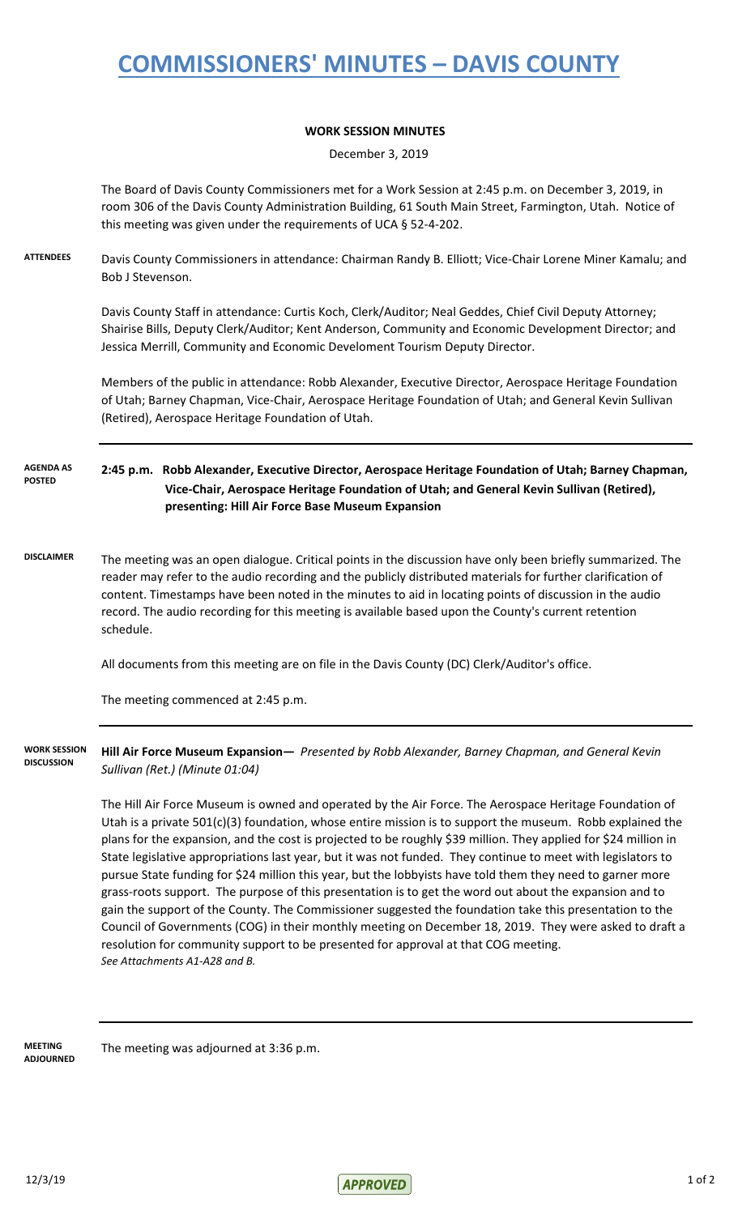## **COMMISSIONERS' MINUTES – DAVIS COUNTY**

## **WORK SESSION MINUTES**

December 3, 2019

The Board of Davis County Commissioners met for a Work Session at 2:45 p.m. on December 3, 2019, in room 306 of the Davis County Administration Building, 61 South Main Street, Farmington, Utah. Notice of this meeting was given under the requirements of UCA § 52-4-202.

**ATTENDEES** Davis County Commissioners in attendance: Chairman Randy B. Elliott; Vice-Chair Lorene Miner Kamalu; and Bob J Stevenson.

> Davis County Staff in attendance: Curtis Koch, Clerk/Auditor; Neal Geddes, Chief Civil Deputy Attorney; Shairise Bills, Deputy Clerk/Auditor; Kent Anderson, Community and Economic Development Director; and Jessica Merrill, Community and Economic Develoment Tourism Deputy Director.

> Members of the public in attendance: Robb Alexander, Executive Director, Aerospace Heritage Foundation of Utah; Barney Chapman, Vice-Chair, Aerospace Heritage Foundation of Utah; and General Kevin Sullivan (Retired), Aerospace Heritage Foundation of Utah.

## **2:45 p.m. Robb Alexander, Executive Director, Aerospace Heritage Foundation of Utah; Barney Chapman, Vice-Chair, Aerospace Heritage Foundation of Utah; and General Kevin Sullivan (Retired), presenting: Hill Air Force Base Museum Expansion AGENDA AS POSTED**

**DISCLAIMER** The meeting was an open dialogue. Critical points in the discussion have only been briefly summarized. The reader may refer to the audio recording and the publicly distributed materials for further clarification of content. Timestamps have been noted in the minutes to aid in locating points of discussion in the audio record. The audio recording for this meeting is available based upon the County's current retention schedule.

All documents from this meeting are on file in the Davis County (DC) Clerk/Auditor's office.

The meeting commenced at 2:45 p.m.

**Hill Air Force Museum Expansion—** *Presented by Robb Alexander, Barney Chapman, and General Kevin Sullivan (Ret.) (Minute 01:04)* **WORK SESSION DISCUSSION**

> The Hill Air Force Museum is owned and operated by the Air Force. The Aerospace Heritage Foundation of Utah is a private  $501(c)(3)$  foundation, whose entire mission is to support the museum. Robb explained the plans for the expansion, and the cost is projected to be roughly \$39 million. They applied for \$24 million in State legislative appropriations last year, but it was not funded. They continue to meet with legislators to pursue State funding for \$24 million this year, but the lobbyists have told them they need to garner more grass-roots support. The purpose of this presentation is to get the word out about the expansion and to gain the support of the County. The Commissioner suggested the foundation take this presentation to the Council of Governments (COG) in their monthly meeting on December 18, 2019. They were asked to draft a resolution for community support to be presented for approval at that COG meeting. *See Attachments A1-A28 and B.*

The meeting was adjourned at 3:36 p.m. **MEETING ADJOURNED**

 $12/3/19$  1 of 2